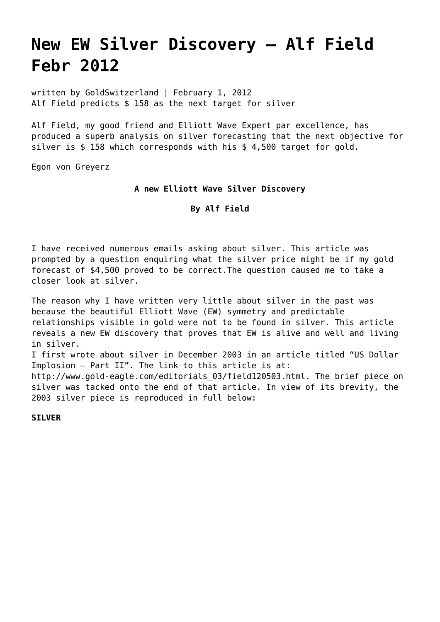# **[New EW Silver Discovery – Alf Field](https://goldswitzerland.com/what-about-silver-alf-field-febr-2012/) [Febr 2012](https://goldswitzerland.com/what-about-silver-alf-field-febr-2012/)**

written by GoldSwitzerland | February 1, 2012 Alf Field predicts \$ 158 as the next target for silver

Alf Field, my good friend and Elliott Wave Expert par excellence, has produced a superb analysis on silver forecasting that the next objective for silver is \$ 158 which corresponds with his [\\$ 4,500 target for gold.](https://goldswitzerland.com/index.php/gold-correction-is-over-by-alf-field/)

Egon von Greyerz

## **A new Elliott Wave Silver Discovery**

### **By Alf Field**

I have received numerous emails asking about silver. This article was prompted by a question enquiring what the silver price might be if my gold forecast of \$4,500 proved to be correct.The question caused me to take a closer look at silver.

The reason why I have written very little about silver in the past was because the beautiful Elliott Wave (EW) symmetry and predictable relationships visible in gold were not to be found in silver. This article reveals a new EW discovery that proves that EW is alive and well and living in silver. I first wrote about silver in December 2003 in an article titled "US Dollar Implosion – Part II". The link to this article is at: [http://www.gold-eagle.com/editorials\\_03/field120503.html](http://www.gold-eagle.com/editorials_03/field120503.html). The brief piece on silver was tacked onto the end of that article. In view of its brevity, the 2003 silver piece is reproduced in full below:

**SILVER**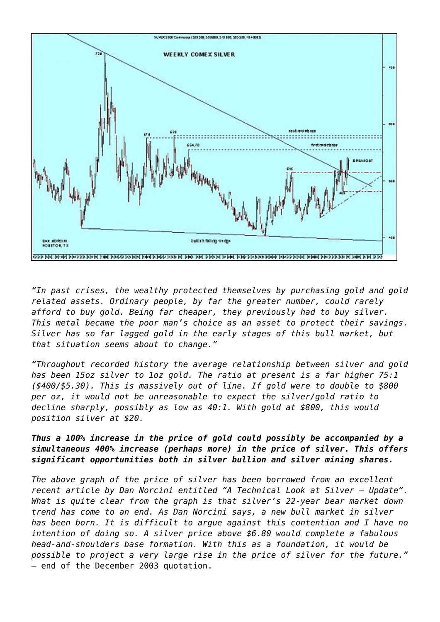

*"In past crises, the wealthy protected themselves by purchasing gold and gold related assets. Ordinary people, by far the greater number, could rarely afford to buy gold. Being far cheaper, they previously had to buy silver. This metal became the poor man's choice as an asset to protect their savings. Silver has so far lagged gold in the early stages of this bull market, but that situation seems about to change."*

*"Throughout recorded history the average relationship between silver and gold has been 15oz silver to 1oz gold. The ratio at present is a far higher 75:1 (\$400/\$5.30). This is massively out of line. If gold were to double to \$800 per oz, it would not be unreasonable to expect the silver/gold ratio to decline sharply, possibly as low as 40:1. With gold at \$800, this would position silver at \$20.*

# *Thus a 100% increase in the price of gold could possibly be accompanied by a simultaneous 400% increase (perhaps more) in the price of silver. This offers significant opportunities both in silver bullion and silver mining shares.*

*The above graph of the price of silver has been borrowed from an excellent recent article by Dan Norcini entitled "A Technical Look at Silver – Update". What is quite clear from the graph is that silver's 22-year bear market down trend has come to an end. As Dan Norcini says, a new bull market in silver has been born. It is difficult to argue against this contention and I have no intention of doing so. A silver price above \$6.80 would complete a fabulous head-and-shoulders base formation. With this as a foundation, it would be possible to project a very large rise in the price of silver for the future."* – end of the December 2003 quotation.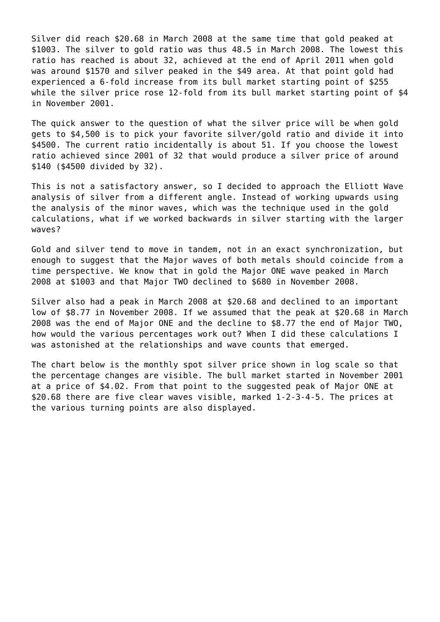Silver did reach \$20.68 in March 2008 at the same time that gold peaked at \$1003. The silver to gold ratio was thus 48.5 in March 2008. The lowest this ratio has reached is about 32, achieved at the end of April 2011 when gold was around \$1570 and silver peaked in the \$49 area. At that point gold had experienced a 6-fold increase from its bull market starting point of \$255 while the silver price rose 12-fold from its bull market starting point of \$4 in November 2001.

The quick answer to the question of what the silver price will be when gold gets to \$4,500 is to pick your favorite silver/gold ratio and divide it into \$4500. The current ratio incidentally is about 51. If you choose the lowest ratio achieved since 2001 of 32 that would produce a silver price of around \$140 (\$4500 divided by 32).

This is not a satisfactory answer, so I decided to approach the Elliott Wave analysis of silver from a different angle. Instead of working upwards using the analysis of the minor waves, which was the technique used in the gold calculations, what if we worked backwards in silver starting with the larger waves?

Gold and silver tend to move in tandem, not in an exact synchronization, but enough to suggest that the Major waves of both metals should coincide from a time perspective. We know that in gold the Major ONE wave peaked in March 2008 at \$1003 and that Major TWO declined to \$680 in November 2008.

Silver also had a peak in March 2008 at \$20.68 and declined to an important low of \$8.77 in November 2008. If we assumed that the peak at \$20.68 in March 2008 was the end of Major ONE and the decline to \$8.77 the end of Major TWO, how would the various percentages work out? When I did these calculations I was astonished at the relationships and wave counts that emerged.

The chart below is the monthly spot silver price shown in log scale so that the percentage changes are visible. The bull market started in November 2001 at a price of \$4.02. From that point to the suggested peak of Major ONE at \$20.68 there are five clear waves visible, marked 1-2-3-4-5. The prices at the various turning points are also displayed.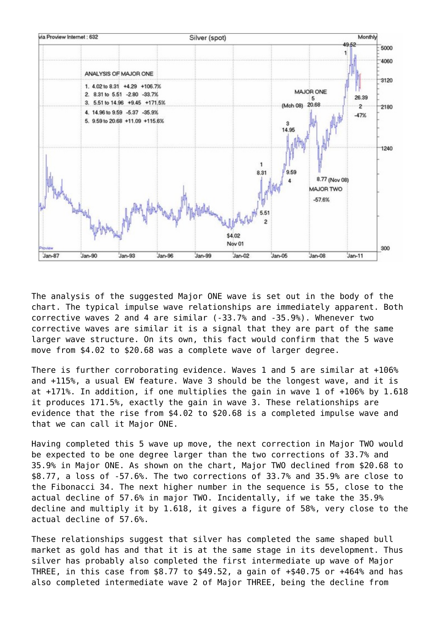

The analysis of the suggested Major ONE wave is set out in the body of the chart. The typical impulse wave relationships are immediately apparent. Both corrective waves 2 and 4 are similar (-33.7% and -35.9%). Whenever two corrective waves are similar it is a signal that they are part of the same larger wave structure. On its own, this fact would confirm that the 5 wave move from \$4.02 to \$20.68 was a complete wave of larger degree.

There is further corroborating evidence. Waves 1 and 5 are similar at +106% and +115%, a usual EW feature. Wave 3 should be the longest wave, and it is at +171%. In addition, if one multiplies the gain in wave 1 of +106% by 1.618 it produces 171.5%, exactly the gain in wave 3. These relationships are evidence that the rise from \$4.02 to \$20.68 is a completed impulse wave and that we can call it Major ONE.

Having completed this 5 wave up move, the next correction in Major TWO would be expected to be one degree larger than the two corrections of 33.7% and 35.9% in Major ONE. As shown on the chart, Major TWO declined from \$20.68 to \$8.77, a loss of -57.6%. The two corrections of 33.7% and 35.9% are close to the Fibonacci 34. The next higher number in the sequence is 55, close to the actual decline of 57.6% in major TWO. Incidentally, if we take the 35.9% decline and multiply it by 1.618, it gives a figure of 58%, very close to the actual decline of 57.6%.

These relationships suggest that silver has completed the same shaped bull market as gold has and that it is at the same stage in its development. Thus silver has probably also completed the first intermediate up wave of Major THREE, in this case from \$8.77 to \$49.52, a gain of +\$40.75 or +464% and has also completed intermediate wave 2 of Major THREE, being the decline from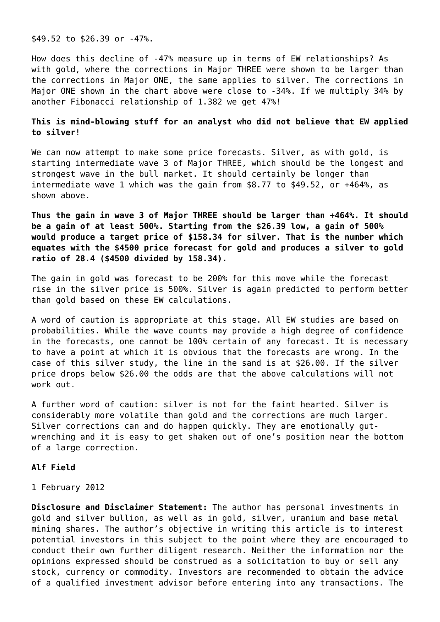\$49.52 to \$26.39 or -47%.

How does this decline of -47% measure up in terms of EW relationships? As with gold, where the corrections in Major THREE were shown to be larger than the corrections in Major ONE, the same applies to silver. The corrections in Major ONE shown in the chart above were close to -34%. If we multiply 34% by another Fibonacci relationship of 1.382 we get 47%!

## **This is mind-blowing stuff for an analyst who did not believe that EW applied to silver!**

We can now attempt to make some price forecasts. Silver, as with gold, is starting intermediate wave 3 of Major THREE, which should be the longest and strongest wave in the bull market. It should certainly be longer than intermediate wave 1 which was the gain from \$8.77 to \$49.52, or +464%, as shown above.

**Thus the gain in wave 3 of Major THREE should be larger than +464%. It should be a gain of at least 500%. Starting from the \$26.39 low, a gain of 500% would produce a target price of \$158.34 for silver. That is the number which equates with the \$4500 price forecast for gold and produces a silver to gold ratio of 28.4 (\$4500 divided by 158.34).**

The gain in gold was forecast to be 200% for this move while the forecast rise in the silver price is 500%. Silver is again predicted to perform better than gold based on these EW calculations.

A word of caution is appropriate at this stage. All EW studies are based on probabilities. While the wave counts may provide a high degree of confidence in the forecasts, one cannot be 100% certain of any forecast. It is necessary to have a point at which it is obvious that the forecasts are wrong. In the case of this silver study, the line in the sand is at \$26.00. If the silver price drops below \$26.00 the odds are that the above calculations will not work out.

A further word of caution: silver is not for the faint hearted. Silver is considerably more volatile than gold and the corrections are much larger. Silver corrections can and do happen quickly. They are emotionally gutwrenching and it is easy to get shaken out of one's position near the bottom of a large correction.

#### **Alf Field**

1 February 2012

**Disclosure and Disclaimer Statement:** The author has personal investments in gold and silver bullion, as well as in gold, silver, uranium and base metal mining shares. The author's objective in writing this article is to interest potential investors in this subject to the point where they are encouraged to conduct their own further diligent research. Neither the information nor the opinions expressed should be construed as a solicitation to buy or sell any stock, currency or commodity. Investors are recommended to obtain the advice of a qualified investment advisor before entering into any transactions. The